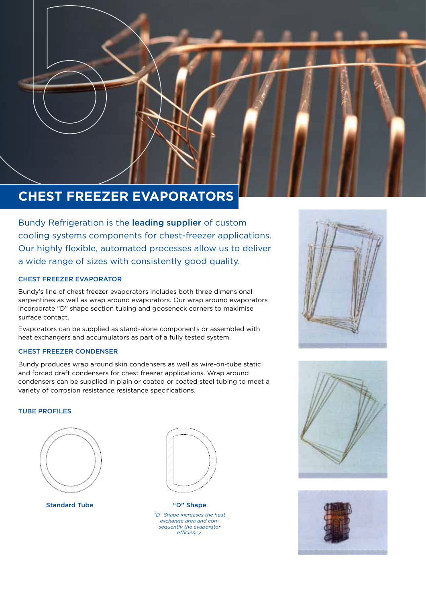# **CHEST FREEZER EVAPORATORS**

Bundy Refrigeration is the leading supplier of custom cooling systems components for chest-freezer applications. Our highly flexible, automated processes allow us to deliver a wide range of sizes with consistently good quality.

# CHEST FREEZER EVAPORATOR

Bundy's line of chest freezer evaporators includes both three dimensional serpentines as well as wrap around evaporators. Our wrap around evaporators incorporate "D" shape section tubing and gooseneck corners to maximise surface contact.

Evaporators can be supplied as stand-alone components or assembled with heat exchangers and accumulators as part of a fully tested system.

# CHEST FREEZER CONDENSER

Bundy produces wrap around skin condensers as well as wire-on-tube static and forced draft condensers for chest freezer applications. Wrap around condensers can be supplied in plain or coated or coated steel tubing to meet a variety of corrosion resistance resistance specifications.

# TUBE PROFILES



Standard Tube "D" Shape



*"D" Shape increases the heat exchange area and consequently the evaporator efficiency.*